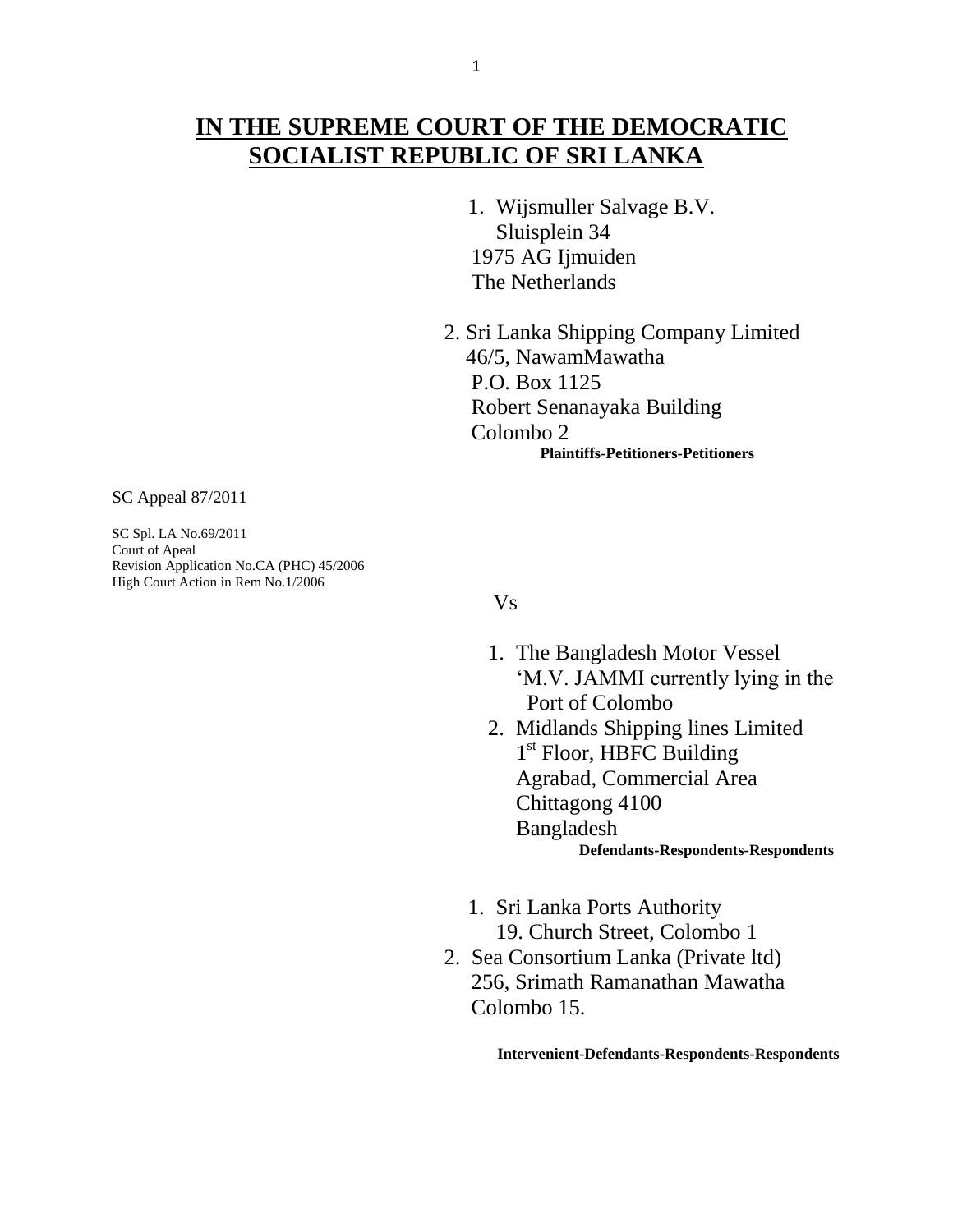## **IN THE SUPREME COURT OF THE DEMOCRATIC SOCIALIST REPUBLIC OF SRI LANKA**

- 1. Wijsmuller Salvage B.V. Sluisplein 34 1975 AG Ijmuiden The Netherlands
- 2. Sri Lanka Shipping Company Limited 46/5, NawamMawatha P.O. Box 1125 Robert Senanayaka Building Colombo 2  **Plaintiffs-Petitioners-Petitioners**

SC Appeal 87/2011

SC Spl. LA No.69/2011 Court of Apeal Revision Application No.CA (PHC) 45/2006 High Court Action in Rem No.1/2006

Vs

- 1. The Bangladesh Motor Vessel "M.V. JAMMI currently lying in the Port of Colombo
- 2. Midlands Shipping lines Limited 1<sup>st</sup> Floor, HBFC Building Agrabad, Commercial Area Chittagong 4100 Bangladesh  **Defendants-Respondents-Respondents**
- 1. Sri Lanka Ports Authority 19. Church Street, Colombo 1
- 2. Sea Consortium Lanka (Private ltd) 256, Srimath Ramanathan Mawatha Colombo 15.

 **Intervenient-Defendants-Respondents-Respondents**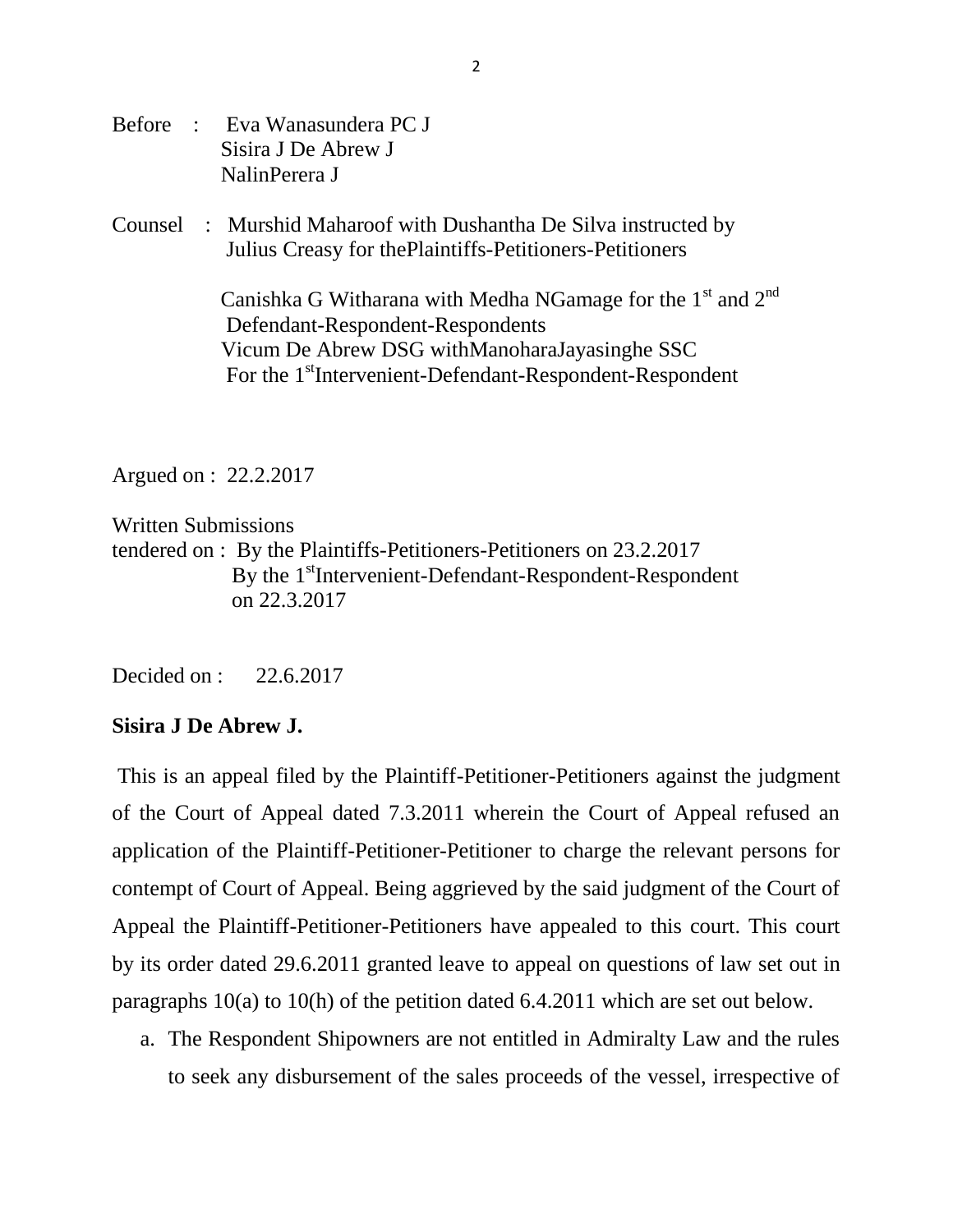- Before : Eva Wanasundera PC J Sisira J De Abrew J NalinPerera J
- Counsel : Murshid Maharoof with Dushantha De Silva instructed by Julius Creasy for thePlaintiffs-Petitioners-Petitioners

Canishka G Witharana with Medha NGamage for the  $1<sup>st</sup>$  and  $2<sup>nd</sup>$  Defendant-Respondent-Respondents Vicum De Abrew DSG withManoharaJayasinghe SSC For the 1<sup>st</sup>Intervenient-Defendant-Respondent-Respondent

Argued on : 22.2.2017

Written Submissions tendered on : By the Plaintiffs-Petitioners-Petitioners on 23.2.2017 By the 1<sup>st</sup>Intervenient-Defendant-Respondent-Respondent on 22.3.2017

Decided on : 22.6.2017

## **Sisira J De Abrew J.**

This is an appeal filed by the Plaintiff-Petitioner-Petitioners against the judgment of the Court of Appeal dated 7.3.2011 wherein the Court of Appeal refused an application of the Plaintiff-Petitioner-Petitioner to charge the relevant persons for contempt of Court of Appeal. Being aggrieved by the said judgment of the Court of Appeal the Plaintiff-Petitioner-Petitioners have appealed to this court. This court by its order dated 29.6.2011 granted leave to appeal on questions of law set out in paragraphs 10(a) to 10(h) of the petition dated 6.4.2011 which are set out below.

a. The Respondent Shipowners are not entitled in Admiralty Law and the rules to seek any disbursement of the sales proceeds of the vessel, irrespective of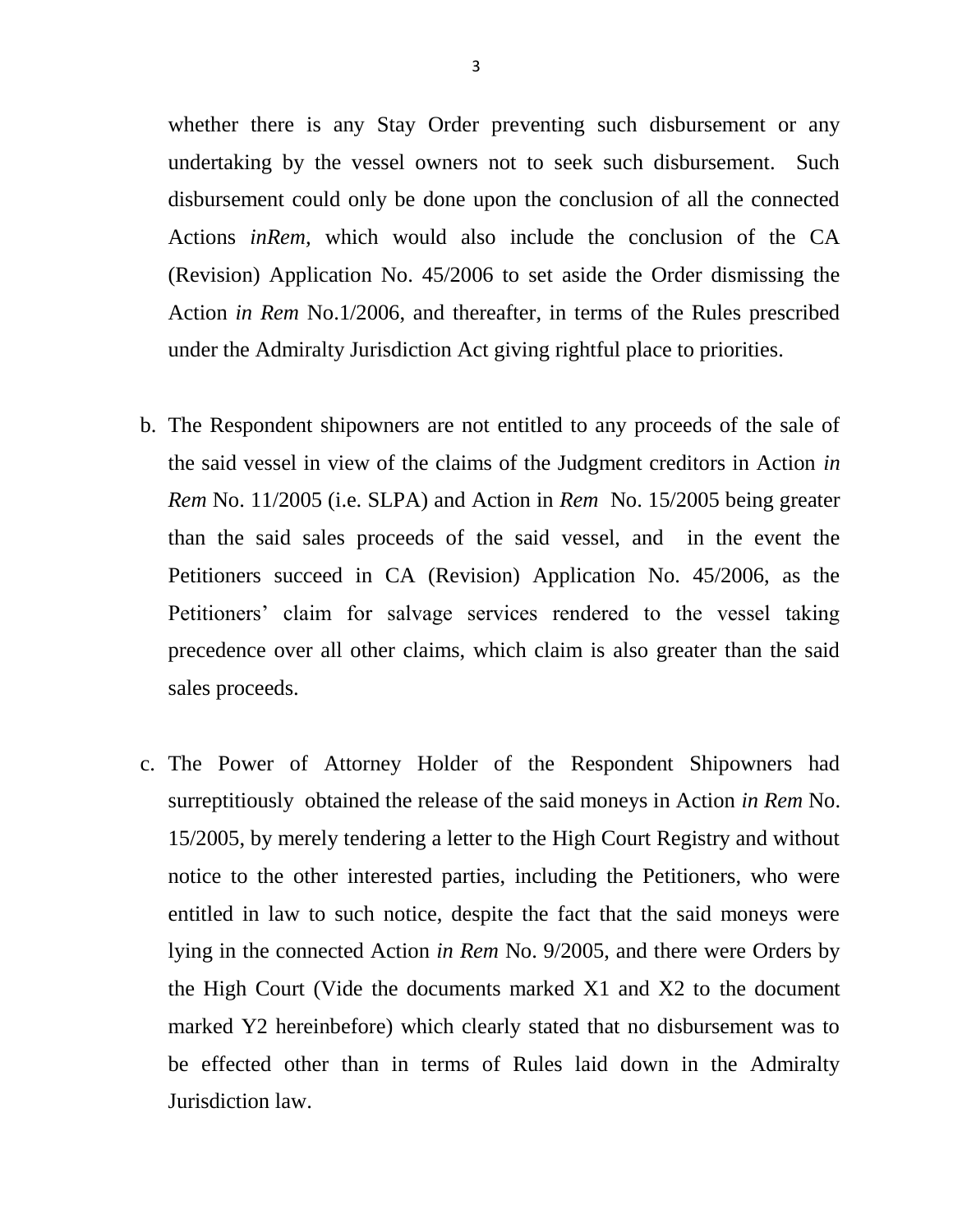whether there is any Stay Order preventing such disbursement or any undertaking by the vessel owners not to seek such disbursement. Such disbursement could only be done upon the conclusion of all the connected Actions *inRem,* which would also include the conclusion of the CA (Revision) Application No. 45/2006 to set aside the Order dismissing the Action *in Rem* No.1/2006, and thereafter, in terms of the Rules prescribed under the Admiralty Jurisdiction Act giving rightful place to priorities.

- b. The Respondent shipowners are not entitled to any proceeds of the sale of the said vessel in view of the claims of the Judgment creditors in Action *in Rem* No. 11/2005 (i.e. SLPA) and Action in *Rem* No. 15/2005 being greater than the said sales proceeds of the said vessel, and in the event the Petitioners succeed in CA (Revision) Application No. 45/2006, as the Petitioners' claim for salvage services rendered to the vessel taking precedence over all other claims, which claim is also greater than the said sales proceeds.
- c. The Power of Attorney Holder of the Respondent Shipowners had surreptitiously obtained the release of the said moneys in Action *in Rem* No. 15/2005, by merely tendering a letter to the High Court Registry and without notice to the other interested parties, including the Petitioners, who were entitled in law to such notice, despite the fact that the said moneys were lying in the connected Action *in Rem* No. 9/2005, and there were Orders by the High Court (Vide the documents marked X1 and X2 to the document marked Y2 hereinbefore) which clearly stated that no disbursement was to be effected other than in terms of Rules laid down in the Admiralty Jurisdiction law.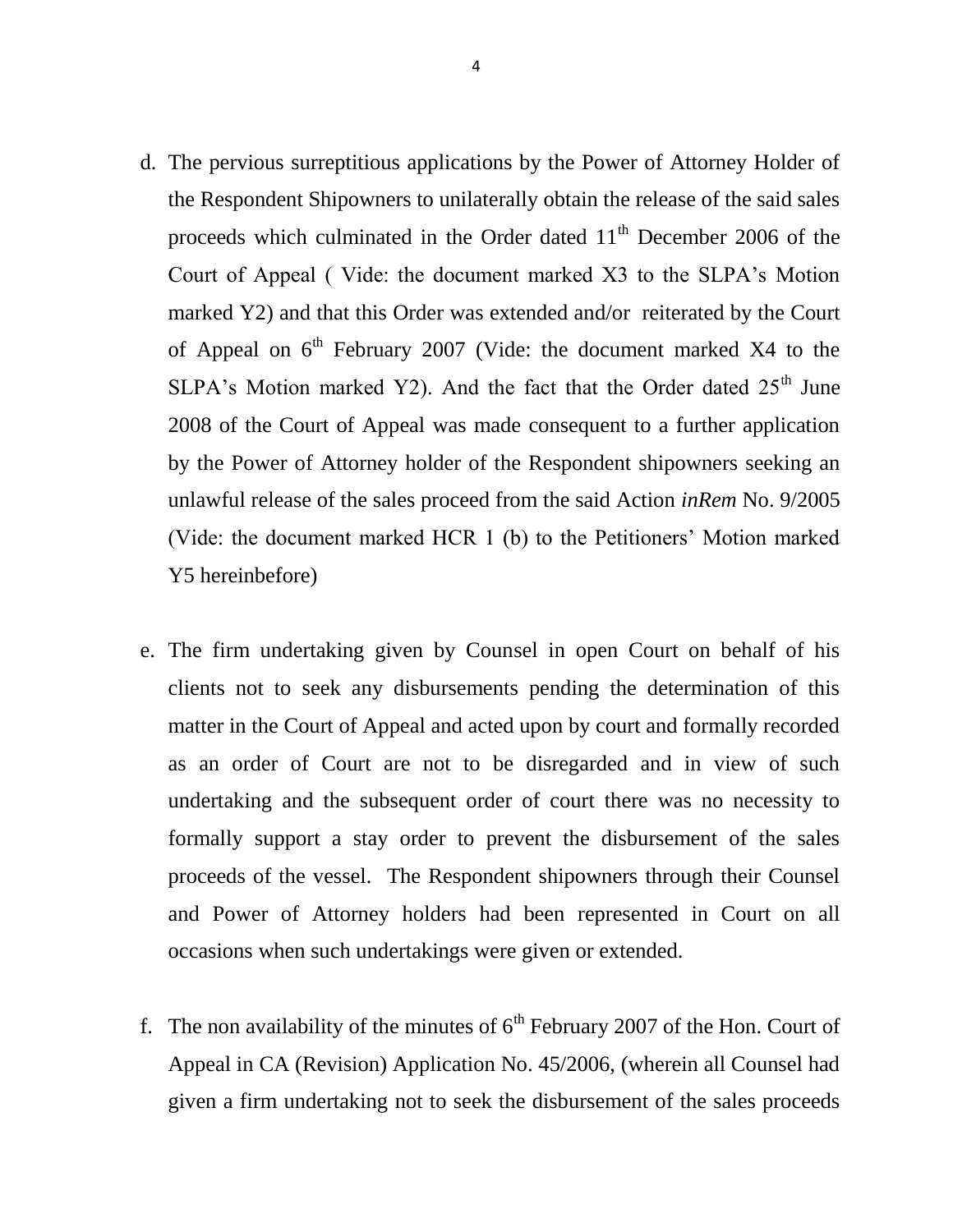- d. The pervious surreptitious applications by the Power of Attorney Holder of the Respondent Shipowners to unilaterally obtain the release of the said sales proceeds which culminated in the Order dated 11<sup>th</sup> December 2006 of the Court of Appeal ( Vide: the document marked X3 to the SLPA"s Motion marked Y2) and that this Order was extended and/or reiterated by the Court of Appeal on  $6<sup>th</sup>$  February 2007 (Vide: the document marked X4 to the SLPA's Motion marked Y2). And the fact that the Order dated  $25<sup>th</sup>$  June 2008 of the Court of Appeal was made consequent to a further application by the Power of Attorney holder of the Respondent shipowners seeking an unlawful release of the sales proceed from the said Action *inRem* No. 9/2005 (Vide: the document marked HCR 1 (b) to the Petitioners" Motion marked Y5 hereinbefore)
- e. The firm undertaking given by Counsel in open Court on behalf of his clients not to seek any disbursements pending the determination of this matter in the Court of Appeal and acted upon by court and formally recorded as an order of Court are not to be disregarded and in view of such undertaking and the subsequent order of court there was no necessity to formally support a stay order to prevent the disbursement of the sales proceeds of the vessel. The Respondent shipowners through their Counsel and Power of Attorney holders had been represented in Court on all occasions when such undertakings were given or extended.
- f. The non availability of the minutes of  $6<sup>th</sup>$  February 2007 of the Hon. Court of Appeal in CA (Revision) Application No. 45/2006, (wherein all Counsel had given a firm undertaking not to seek the disbursement of the sales proceeds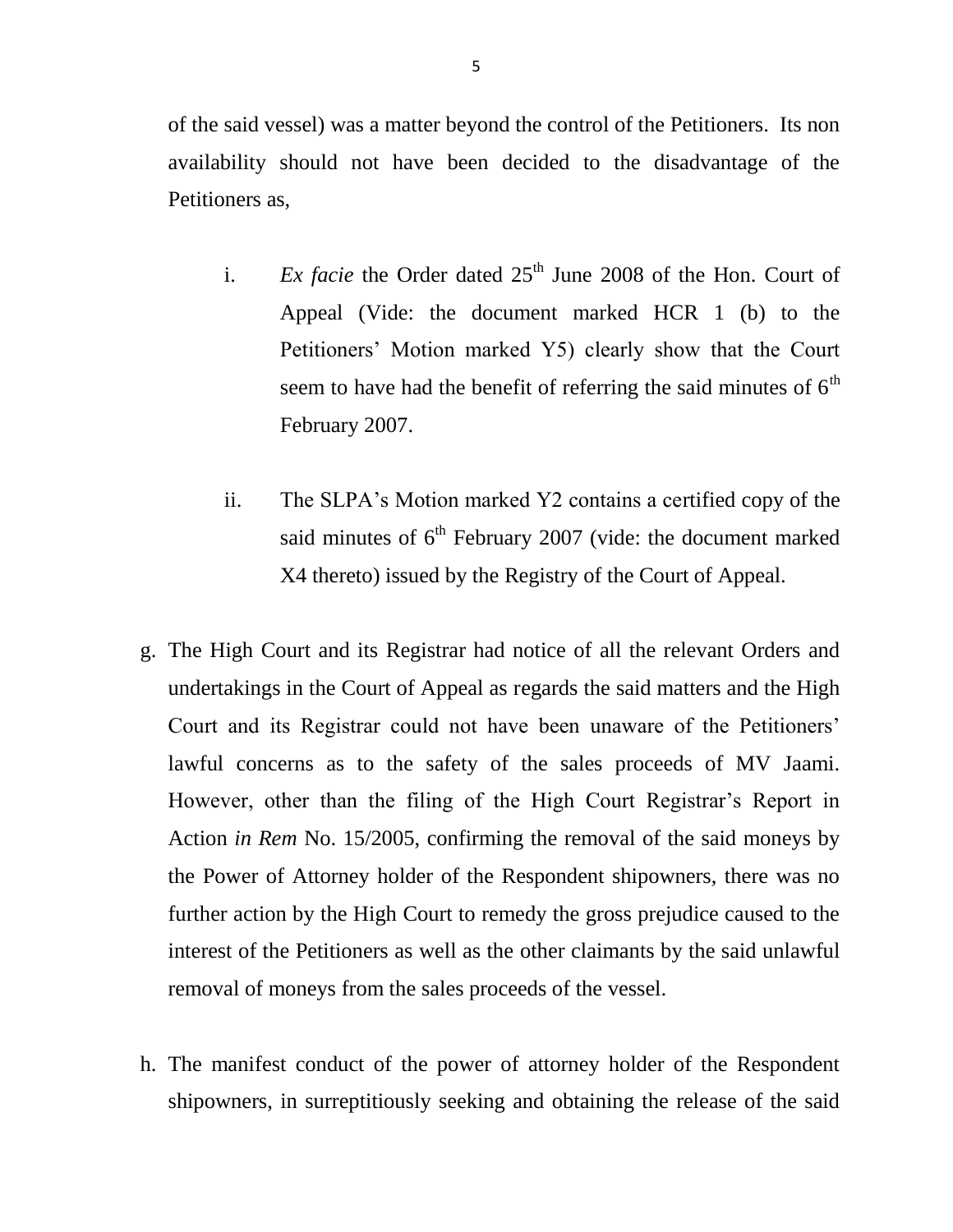of the said vessel) was a matter beyond the control of the Petitioners. Its non availability should not have been decided to the disadvantage of the Petitioners as,

- i. *Ex facie* the Order dated  $25<sup>th</sup>$  June 2008 of the Hon. Court of Appeal (Vide: the document marked HCR 1 (b) to the Petitioners" Motion marked Y5) clearly show that the Court seem to have had the benefit of referring the said minutes of  $6<sup>th</sup>$ February 2007.
- ii. The SLPA"s Motion marked Y2 contains a certified copy of the said minutes of  $6<sup>th</sup>$  February 2007 (vide: the document marked X4 thereto) issued by the Registry of the Court of Appeal.
- g. The High Court and its Registrar had notice of all the relevant Orders and undertakings in the Court of Appeal as regards the said matters and the High Court and its Registrar could not have been unaware of the Petitioners" lawful concerns as to the safety of the sales proceeds of MV Jaami. However, other than the filing of the High Court Registrar's Report in Action *in Rem* No. 15/2005, confirming the removal of the said moneys by the Power of Attorney holder of the Respondent shipowners, there was no further action by the High Court to remedy the gross prejudice caused to the interest of the Petitioners as well as the other claimants by the said unlawful removal of moneys from the sales proceeds of the vessel.
- h. The manifest conduct of the power of attorney holder of the Respondent shipowners, in surreptitiously seeking and obtaining the release of the said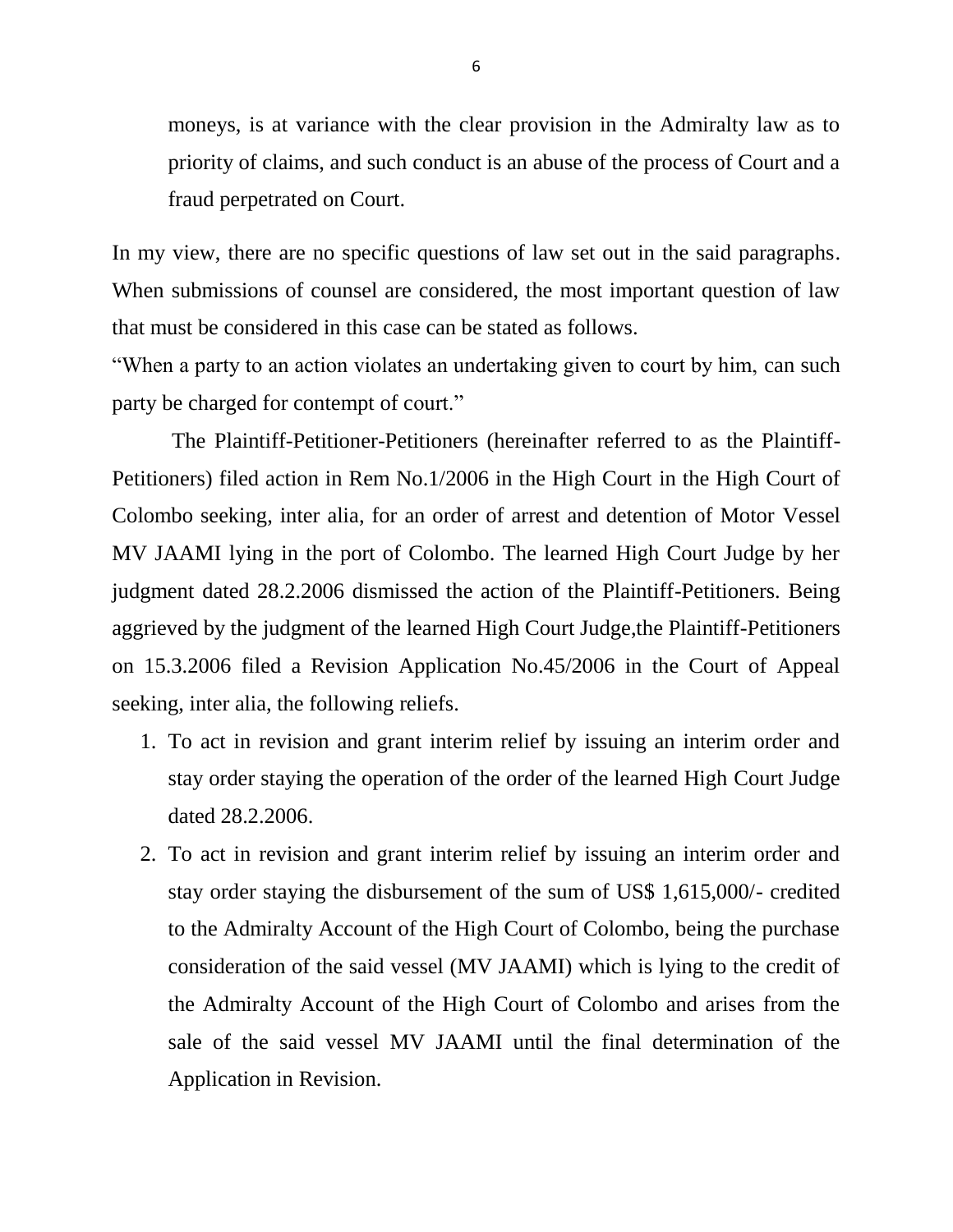moneys, is at variance with the clear provision in the Admiralty law as to priority of claims, and such conduct is an abuse of the process of Court and a fraud perpetrated on Court.

In my view, there are no specific questions of law set out in the said paragraphs. When submissions of counsel are considered, the most important question of law that must be considered in this case can be stated as follows.

"When a party to an action violates an undertaking given to court by him, can such party be charged for contempt of court."

 The Plaintiff-Petitioner-Petitioners (hereinafter referred to as the Plaintiff-Petitioners) filed action in Rem No.1/2006 in the High Court in the High Court of Colombo seeking, inter alia, for an order of arrest and detention of Motor Vessel MV JAAMI lying in the port of Colombo. The learned High Court Judge by her judgment dated 28.2.2006 dismissed the action of the Plaintiff-Petitioners. Being aggrieved by the judgment of the learned High Court Judge,the Plaintiff-Petitioners on 15.3.2006 filed a Revision Application No.45/2006 in the Court of Appeal seeking, inter alia, the following reliefs.

- 1. To act in revision and grant interim relief by issuing an interim order and stay order staying the operation of the order of the learned High Court Judge dated 28.2.2006.
- 2. To act in revision and grant interim relief by issuing an interim order and stay order staying the disbursement of the sum of US\$ 1,615,000/- credited to the Admiralty Account of the High Court of Colombo, being the purchase consideration of the said vessel (MV JAAMI) which is lying to the credit of the Admiralty Account of the High Court of Colombo and arises from the sale of the said vessel MV JAAMI until the final determination of the Application in Revision.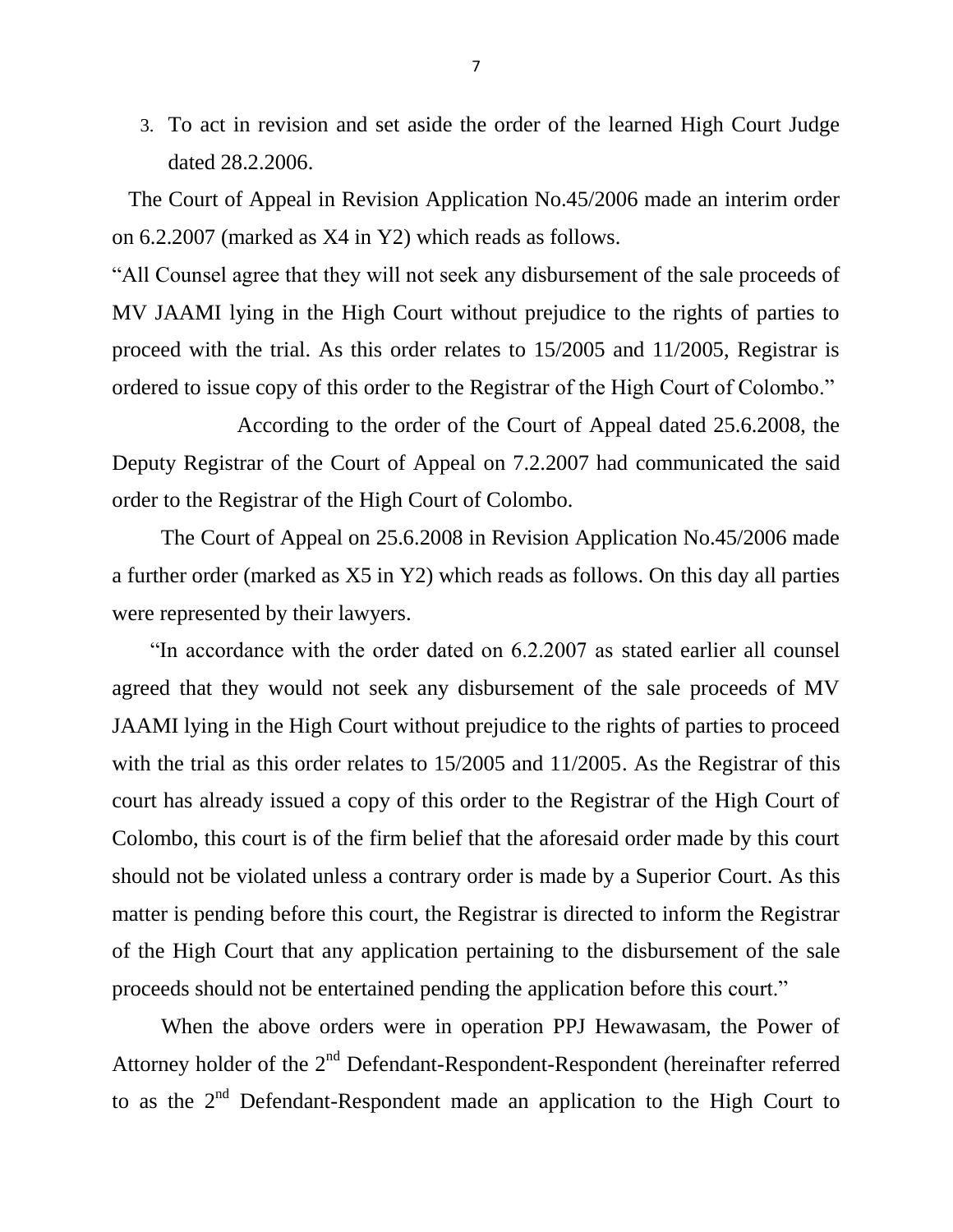3. To act in revision and set aside the order of the learned High Court Judge dated 28.2.2006.

 The Court of Appeal in Revision Application No.45/2006 made an interim order on 6.2.2007 (marked as X4 in Y2) which reads as follows.

"All Counsel agree that they will not seek any disbursement of the sale proceeds of MV JAAMI lying in the High Court without prejudice to the rights of parties to proceed with the trial. As this order relates to 15/2005 and 11/2005, Registrar is ordered to issue copy of this order to the Registrar of the High Court of Colombo."

 According to the order of the Court of Appeal dated 25.6.2008, the Deputy Registrar of the Court of Appeal on 7.2.2007 had communicated the said order to the Registrar of the High Court of Colombo.

 The Court of Appeal on 25.6.2008 in Revision Application No.45/2006 made a further order (marked as X5 in Y2) which reads as follows. On this day all parties were represented by their lawyers.

 "In accordance with the order dated on 6.2.2007 as stated earlier all counsel agreed that they would not seek any disbursement of the sale proceeds of MV JAAMI lying in the High Court without prejudice to the rights of parties to proceed with the trial as this order relates to  $15/2005$  and  $11/2005$ . As the Registrar of this court has already issued a copy of this order to the Registrar of the High Court of Colombo, this court is of the firm belief that the aforesaid order made by this court should not be violated unless a contrary order is made by a Superior Court. As this matter is pending before this court, the Registrar is directed to inform the Registrar of the High Court that any application pertaining to the disbursement of the sale proceeds should not be entertained pending the application before this court."

 When the above orders were in operation PPJ Hewawasam, the Power of Attorney holder of the 2<sup>nd</sup> Defendant-Respondent-Respondent (hereinafter referred to as the  $2<sup>nd</sup>$  Defendant-Respondent made an application to the High Court to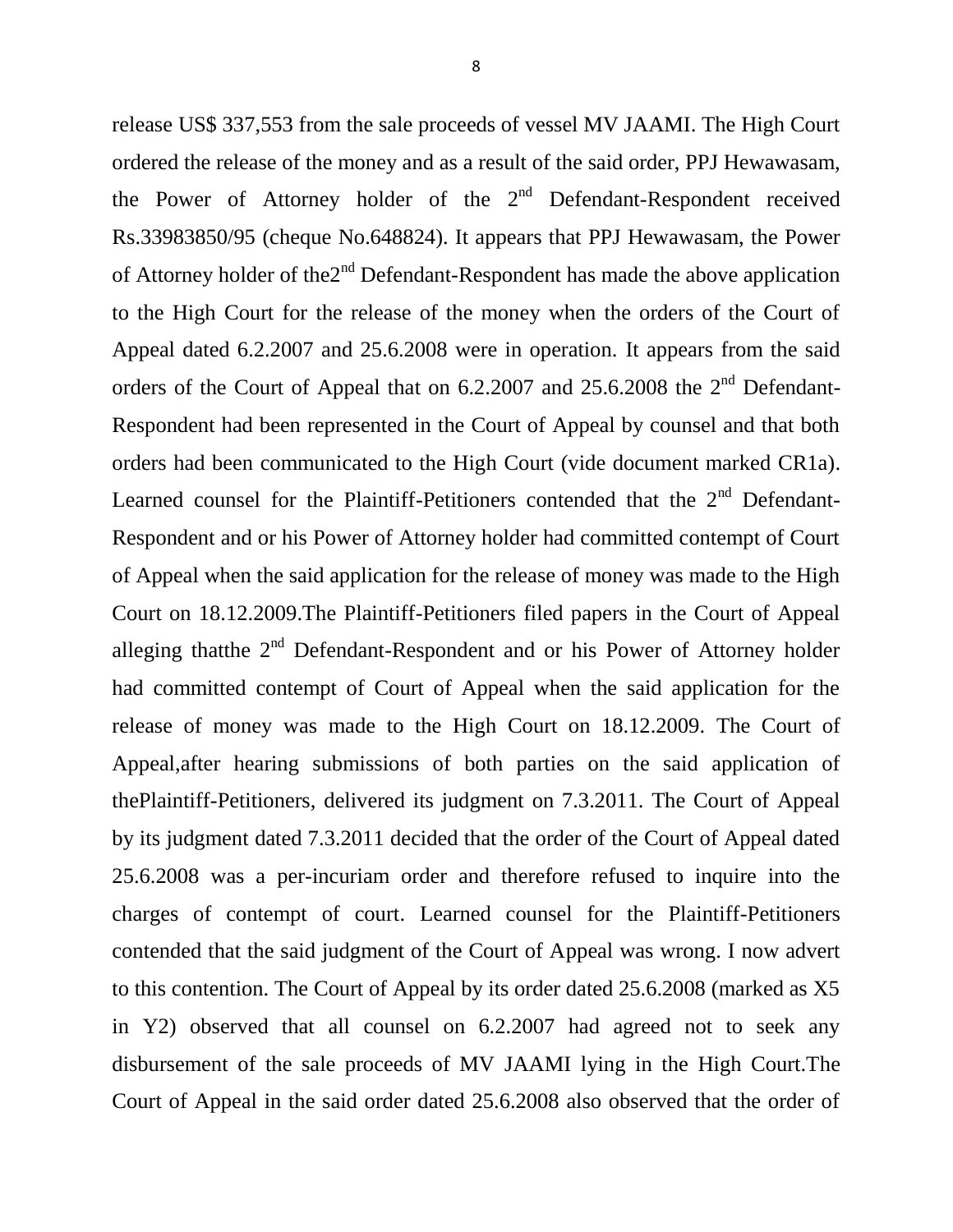release US\$ 337,553 from the sale proceeds of vessel MV JAAMI. The High Court ordered the release of the money and as a result of the said order, PPJ Hewawasam, the Power of Attorney holder of the  $2<sup>nd</sup>$  Defendant-Respondent received Rs.33983850/95 (cheque No.648824). It appears that PPJ Hewawasam, the Power of Attorney holder of the $2<sup>nd</sup>$  Defendant-Respondent has made the above application to the High Court for the release of the money when the orders of the Court of Appeal dated 6.2.2007 and 25.6.2008 were in operation. It appears from the said orders of the Court of Appeal that on  $6.2.2007$  and  $25.6.2008$  the  $2<sup>nd</sup>$  Defendant-Respondent had been represented in the Court of Appeal by counsel and that both orders had been communicated to the High Court (vide document marked CR1a). Learned counsel for the Plaintiff-Petitioners contended that the  $2<sup>nd</sup>$  Defendant-Respondent and or his Power of Attorney holder had committed contempt of Court of Appeal when the said application for the release of money was made to the High Court on 18.12.2009.The Plaintiff-Petitioners filed papers in the Court of Appeal alleging that the  $2<sup>nd</sup>$  Defendant-Respondent and or his Power of Attorney holder had committed contempt of Court of Appeal when the said application for the release of money was made to the High Court on 18.12.2009. The Court of Appeal,after hearing submissions of both parties on the said application of thePlaintiff-Petitioners, delivered its judgment on 7.3.2011. The Court of Appeal by its judgment dated 7.3.2011 decided that the order of the Court of Appeal dated 25.6.2008 was a per-incuriam order and therefore refused to inquire into the charges of contempt of court. Learned counsel for the Plaintiff-Petitioners contended that the said judgment of the Court of Appeal was wrong. I now advert to this contention. The Court of Appeal by its order dated 25.6.2008 (marked as X5 in Y2) observed that all counsel on 6.2.2007 had agreed not to seek any disbursement of the sale proceeds of MV JAAMI lying in the High Court.The Court of Appeal in the said order dated 25.6.2008 also observed that the order of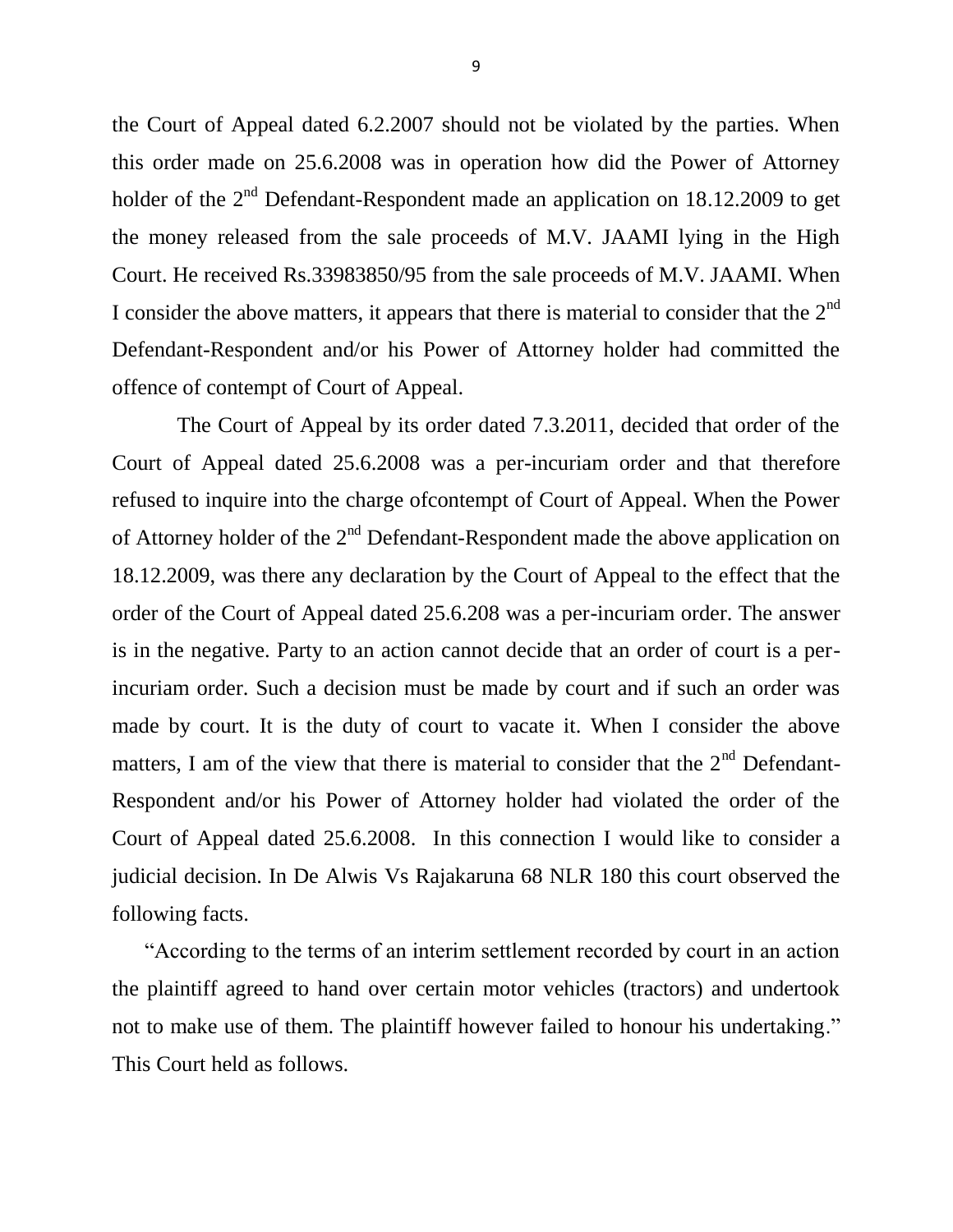the Court of Appeal dated 6.2.2007 should not be violated by the parties. When this order made on 25.6.2008 was in operation how did the Power of Attorney holder of the  $2<sup>nd</sup>$  Defendant-Respondent made an application on 18.12.2009 to get the money released from the sale proceeds of M.V. JAAMI lying in the High Court. He received Rs.33983850/95 from the sale proceeds of M.V. JAAMI. When I consider the above matters, it appears that there is material to consider that the  $2<sup>nd</sup>$ Defendant-Respondent and/or his Power of Attorney holder had committed the offence of contempt of Court of Appeal.

 The Court of Appeal by its order dated 7.3.2011, decided that order of the Court of Appeal dated 25.6.2008 was a per-incuriam order and that therefore refused to inquire into the charge ofcontempt of Court of Appeal. When the Power of Attorney holder of the  $2<sup>nd</sup>$  Defendant-Respondent made the above application on 18.12.2009, was there any declaration by the Court of Appeal to the effect that the order of the Court of Appeal dated 25.6.208 was a per-incuriam order. The answer is in the negative. Party to an action cannot decide that an order of court is a perincuriam order. Such a decision must be made by court and if such an order was made by court. It is the duty of court to vacate it. When I consider the above matters, I am of the view that there is material to consider that the  $2<sup>nd</sup>$  Defendant-Respondent and/or his Power of Attorney holder had violated the order of the Court of Appeal dated 25.6.2008. In this connection I would like to consider a judicial decision. In De Alwis Vs Rajakaruna 68 NLR 180 this court observed the following facts.

 "According to the terms of an interim settlement recorded by court in an action the plaintiff agreed to hand over certain motor vehicles (tractors) and undertook not to make use of them. The plaintiff however failed to honour his undertaking." This Court held as follows.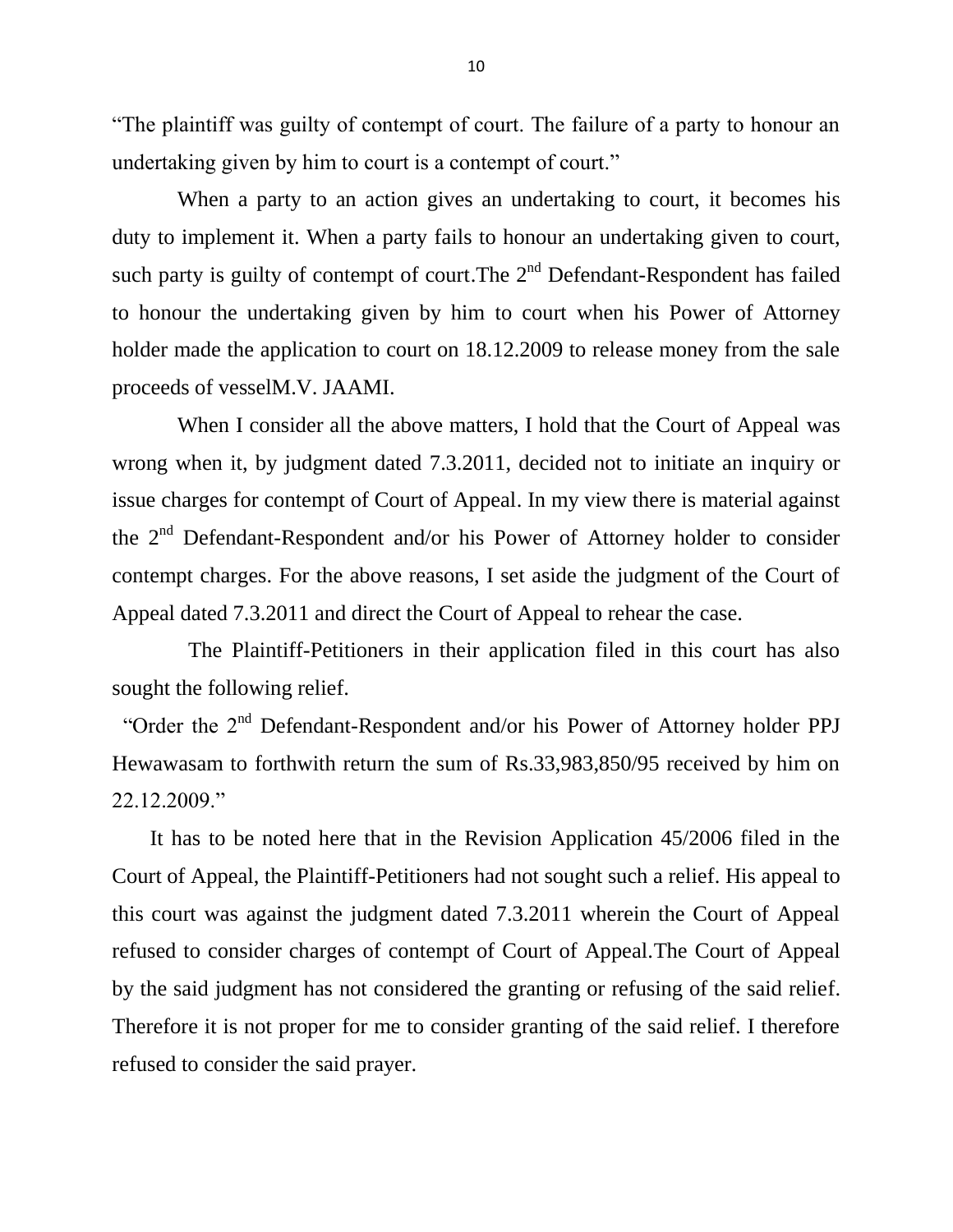"The plaintiff was guilty of contempt of court. The failure of a party to honour an undertaking given by him to court is a contempt of court."

 When a party to an action gives an undertaking to court, it becomes his duty to implement it. When a party fails to honour an undertaking given to court, such party is guilty of contempt of court. The  $2<sup>nd</sup>$  Defendant-Respondent has failed to honour the undertaking given by him to court when his Power of Attorney holder made the application to court on 18.12.2009 to release money from the sale proceeds of vesselM.V. JAAMI.

 When I consider all the above matters, I hold that the Court of Appeal was wrong when it, by judgment dated 7.3.2011, decided not to initiate an inquiry or issue charges for contempt of Court of Appeal. In my view there is material against the 2<sup>nd</sup> Defendant-Respondent and/or his Power of Attorney holder to consider contempt charges. For the above reasons, I set aside the judgment of the Court of Appeal dated 7.3.2011 and direct the Court of Appeal to rehear the case.

 The Plaintiff-Petitioners in their application filed in this court has also sought the following relief.

"Order the 2<sup>nd</sup> Defendant-Respondent and/or his Power of Attorney holder PPJ Hewawasam to forthwith return the sum of Rs.33,983,850/95 received by him on 22.12.2009."

 It has to be noted here that in the Revision Application 45/2006 filed in the Court of Appeal, the Plaintiff-Petitioners had not sought such a relief. His appeal to this court was against the judgment dated 7.3.2011 wherein the Court of Appeal refused to consider charges of contempt of Court of Appeal.The Court of Appeal by the said judgment has not considered the granting or refusing of the said relief. Therefore it is not proper for me to consider granting of the said relief. I therefore refused to consider the said prayer.